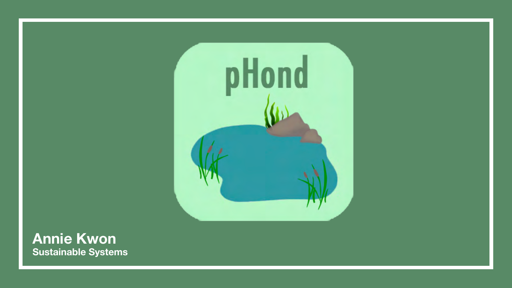### **Sustainable Systems Annie Kwon**



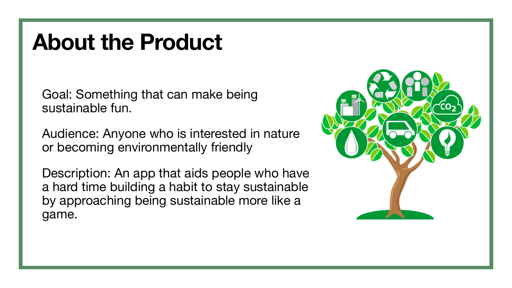# **About the Product**

Goal: Something that can make being sustainable fun.

Audience: Anyone who is interested in nature or becoming environmentally friendly

Description: An app that aids people who have a hard time building a habit to stay sustainable by approaching being sustainable more like a game.

- 
- 



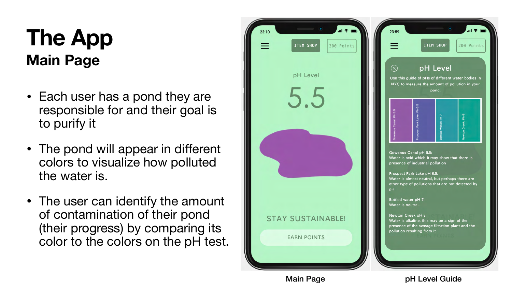### **Main Page The App**

- Each user has a pond they are responsible for and their goal is to purify it
- The pond will appear in different colors to visualize how polluted the water is.
- The user can identify the amount of contamination of their pond (their progress) by comparing its color to the colors on the pH test.



### Main Page **pH Level Guide**

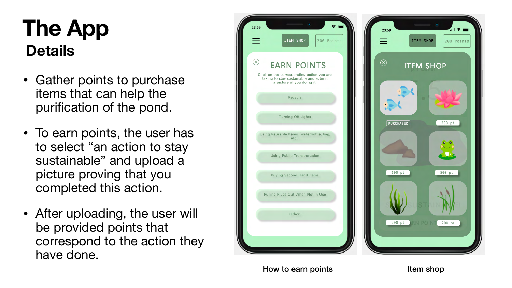- Gather points to purchase items that can help the puri fication of the pond.
- To earn points, the user has to select "an action to stay sustainable" and upload a picture proving that you completed this action.
- After uploading, the user will be provided points that correspond to the action they have done.



How to earn points **Item shop** 

### **Details The App**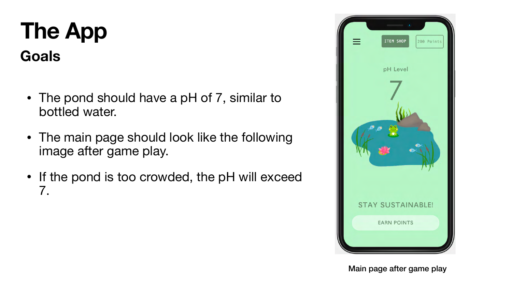## **The App Goals**

Main page after game play

- The pond should have a pH of 7, similar to bottled water.
- The main page should look like the following image after game play.
- If the pond is too crowded, the pH will exceed 7.